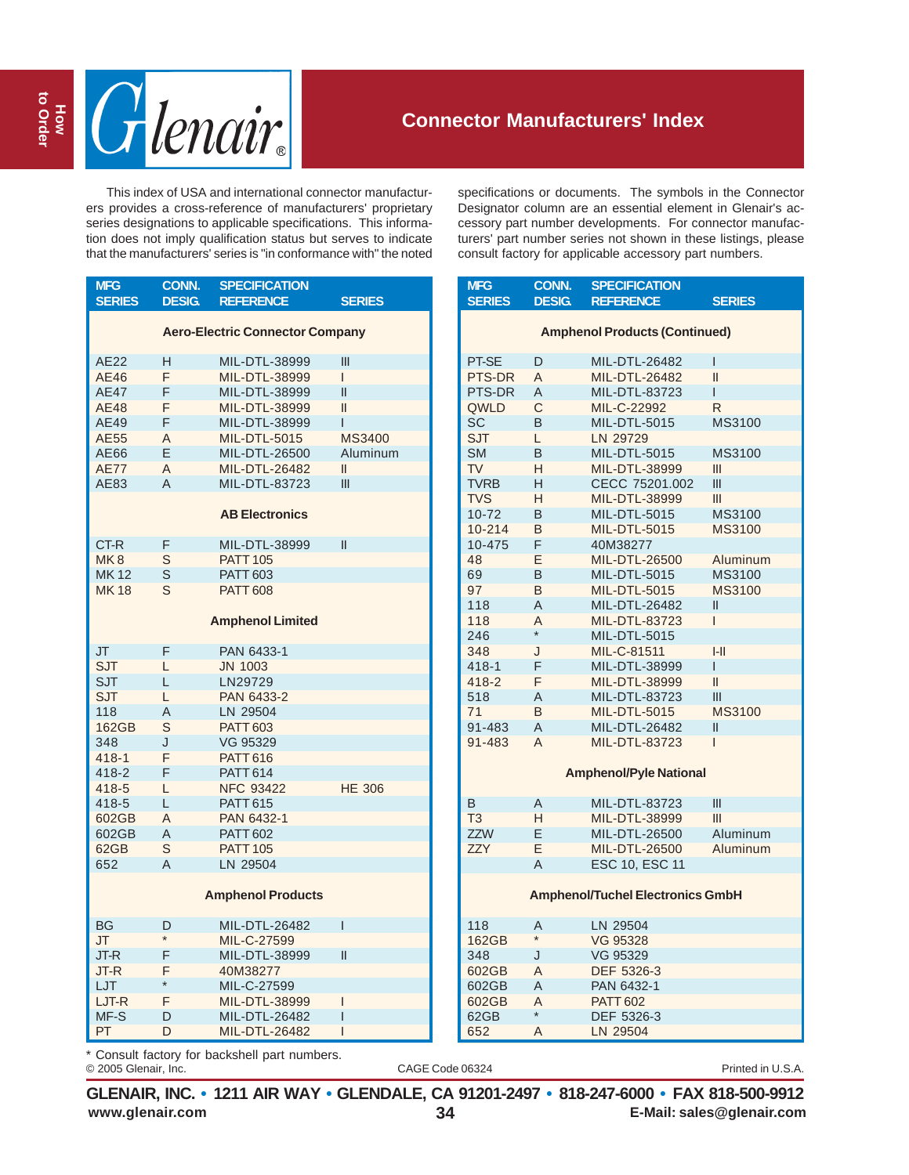

## **Connector Manufacturers' Index**

This index of USA and international connector manufacturers provides a cross-reference of manufacturers' proprietary series designations to applicable specifications. This information does not imply qualification status but serves to indicate that the manufacturers' series is "in conformance with" the noted

| <b>MFG</b><br><b>SERIES</b> | <b>CONN.</b><br><b>DESIG.</b> | <b>SPECIFICATION</b><br><b>REFERENCE</b> | <b>SERIES</b> |
|-----------------------------|-------------------------------|------------------------------------------|---------------|
|                             |                               | <b>Aero-Electric Connector Company</b>   |               |
| AE22                        | н                             | MIL-DTL-38999                            | Ш             |
| AE46                        | F                             | MIL-DTL-38999                            | L             |
| <b>AE47</b>                 | F                             | MIL-DTL-38999                            | Ш             |
| AE48                        | F                             | MIL-DTL-38999                            | $\mathbf{I}$  |
| AE49                        | F                             | MIL-DTL-38999                            | Ī             |
| AE55                        | A                             | <b>MIL-DTL-5015</b>                      | <b>MS3400</b> |
| AE66                        | E                             | MIL-DTL-26500                            | Aluminum      |
| <b>AE77</b>                 | A                             | <b>MIL-DTL-26482</b>                     | Ш             |
| AE83                        | A                             | MIL-DTL-83723                            | Ш             |
|                             |                               | <b>AB Electronics</b>                    |               |
| CT-R                        | F                             | MIL-DTL-38999                            | $\mathbf{II}$ |
| MK <sub>8</sub>             | S                             | <b>PATT 105</b>                          |               |
| <b>MK12</b>                 | S                             | <b>PATT 603</b>                          |               |
| <b>MK18</b>                 | S                             | <b>PATT 608</b>                          |               |
|                             |                               | <b>Amphenol Limited</b>                  |               |
| JT                          | F                             | PAN 6433-1                               |               |
| <b>SJT</b>                  | L                             | <b>JN 1003</b>                           |               |
| <b>SJT</b>                  | L                             | LN29729                                  |               |
| SJT                         | L                             | PAN 6433-2                               |               |
| 118                         | Α                             | LN 29504                                 |               |
| 162GB                       | S                             | <b>PATT 603</b>                          |               |
| 348                         | J                             | VG 95329                                 |               |
| $418 - 1$                   | F                             | <b>PATT 616</b>                          |               |
| 418-2                       | F                             | <b>PATT 614</b>                          |               |
| 418-5                       | L                             | <b>NFC 93422</b>                         | <b>HE 306</b> |
| 418-5                       | L                             | <b>PATT 615</b>                          |               |
| 602GB                       | A                             | PAN 6432-1                               |               |
| 602GB                       | A                             | <b>PATT 602</b>                          |               |
| 62GB                        | S                             | <b>PATT 105</b>                          |               |
| 652                         | A                             | LN 29504                                 |               |
|                             |                               | <b>Amphenol Products</b>                 |               |
| <b>BG</b>                   | D                             | MIL-DTL-26482                            | Ī             |
| JT.                         | $\star$                       | MIL-C-27599                              |               |
| JT-R                        | F                             | MIL-DTL-38999                            | Ш             |
| JT-R                        | F                             | 40M38277                                 |               |
| LJT                         | $\star$                       | MIL-C-27599                              |               |
| LJT-R                       | F                             | MIL-DTL-38999                            | I             |
| MF-S                        | D                             | MIL-DTL-26482                            | Ī             |

specifications or documents. The symbols in the Connector Designator column are an essential element in Glenair's accessory part number developments. For connector manufacturers' part number series not shown in these listings, please consult factory for applicable accessory part numbers.

| <b>MFG</b>                              | <b>CONN.</b> | <b>SPECIFICATION</b> |               |  |  |
|-----------------------------------------|--------------|----------------------|---------------|--|--|
| <b>SERIES</b>                           | <b>DESIG</b> | <b>REFERENCE</b>     | <b>SERIES</b> |  |  |
| <b>Amphenol Products (Continued)</b>    |              |                      |               |  |  |
| PT-SE                                   | D            | MIL-DTL-26482        | I             |  |  |
| PTS-DR                                  | A            | <b>MIL-DTL-26482</b> | $\mathbf{I}$  |  |  |
| PTS-DR                                  | A            | MIL-DTL-83723        | L             |  |  |
| QWLD                                    | C            | MIL-C-22992          | R             |  |  |
| SC                                      | B            | <b>MIL-DTL-5015</b>  | MS3100        |  |  |
| <b>SJT</b>                              | L            | LN 29729             |               |  |  |
| <b>SM</b>                               | B            | MIL-DTL-5015         | MS3100        |  |  |
| <b>TV</b>                               | H            | MIL-DTL-38999        | Ш             |  |  |
| <b>TVRB</b>                             | Н            | CECC 75201.002       | Ш             |  |  |
| <b>TVS</b>                              | н            | MIL-DTL-38999        | Ш             |  |  |
| 10-72                                   | B            | MIL-DTL-5015         | MS3100        |  |  |
| $10 - 214$                              | B            | <b>MIL-DTL-5015</b>  | <b>MS3100</b> |  |  |
| 10-475                                  | F            | 40M38277             |               |  |  |
| 48                                      | E            | MIL-DTL-26500        | Aluminum      |  |  |
| 69                                      | B            | MIL-DTL-5015         | MS3100        |  |  |
| 97                                      | B            | <b>MIL-DTL-5015</b>  | <b>MS3100</b> |  |  |
| 118                                     | A            | MIL-DTL-26482        | Ш             |  |  |
| 118                                     | A            | <b>MIL-DTL-83723</b> | I             |  |  |
| 246                                     | $\star$      | MIL-DTL-5015         |               |  |  |
| 348                                     | J            | MIL-C-81511          | $I-II$        |  |  |
| $418 - 1$                               | F            | MIL-DTL-38999        | I             |  |  |
| 418-2                                   | F            | MIL-DTL-38999        | $\mathbf{I}$  |  |  |
| 518                                     | Α            | MIL-DTL-83723        | Ш             |  |  |
| 71                                      | B            | <b>MIL-DTL-5015</b>  | <b>MS3100</b> |  |  |
| 91-483                                  | A            | MIL-DTL-26482        | $\mathbf{I}$  |  |  |
| 91-483                                  | A            | <b>MIL-DTL-83723</b> | Ī             |  |  |
| <b>Amphenol/Pyle National</b>           |              |                      |               |  |  |
| B                                       | A            | MIL-DTL-83723        | III           |  |  |
| T <sub>3</sub>                          | н            | MIL-DTL-38999        | Ш             |  |  |
| <b>ZZW</b>                              | E            | MIL-DTL-26500        | Aluminum      |  |  |
| <b>ZZY</b>                              | Е            | MIL-DTL-26500        | Aluminum      |  |  |
|                                         | A            | ESC 10, ESC 11       |               |  |  |
| <b>Amphenol/Tuchel Electronics GmbH</b> |              |                      |               |  |  |
| 118                                     | Α            | LN 29504             |               |  |  |
| 162GB                                   | $\star$      | <b>VG 95328</b>      |               |  |  |
| 348                                     | J            | VG 95329             |               |  |  |
| 602GB                                   | A            | DEF 5326-3           |               |  |  |
| 602GB                                   | Α            | PAN 6432-1           |               |  |  |
| 602GB                                   | A            | <b>PATT 602</b>      |               |  |  |
| 62GB                                    | $\star$      | DEF 5326-3           |               |  |  |
| 652                                     | A            | LN 29504             |               |  |  |

© 2005 Glenair, Inc. CAGE Code 06324 Printed in U.S.A. Consult factory for backshell part numbers.

PT D MIL-DTL-26482 I

**www.glenair.com 34 E-Mail: sales@glenair.com GLENAIR, INC. • 1211 AIR WAY • GLENDALE, CA 91201-2497 • 818-247-6000 • FAX 818-500-9912**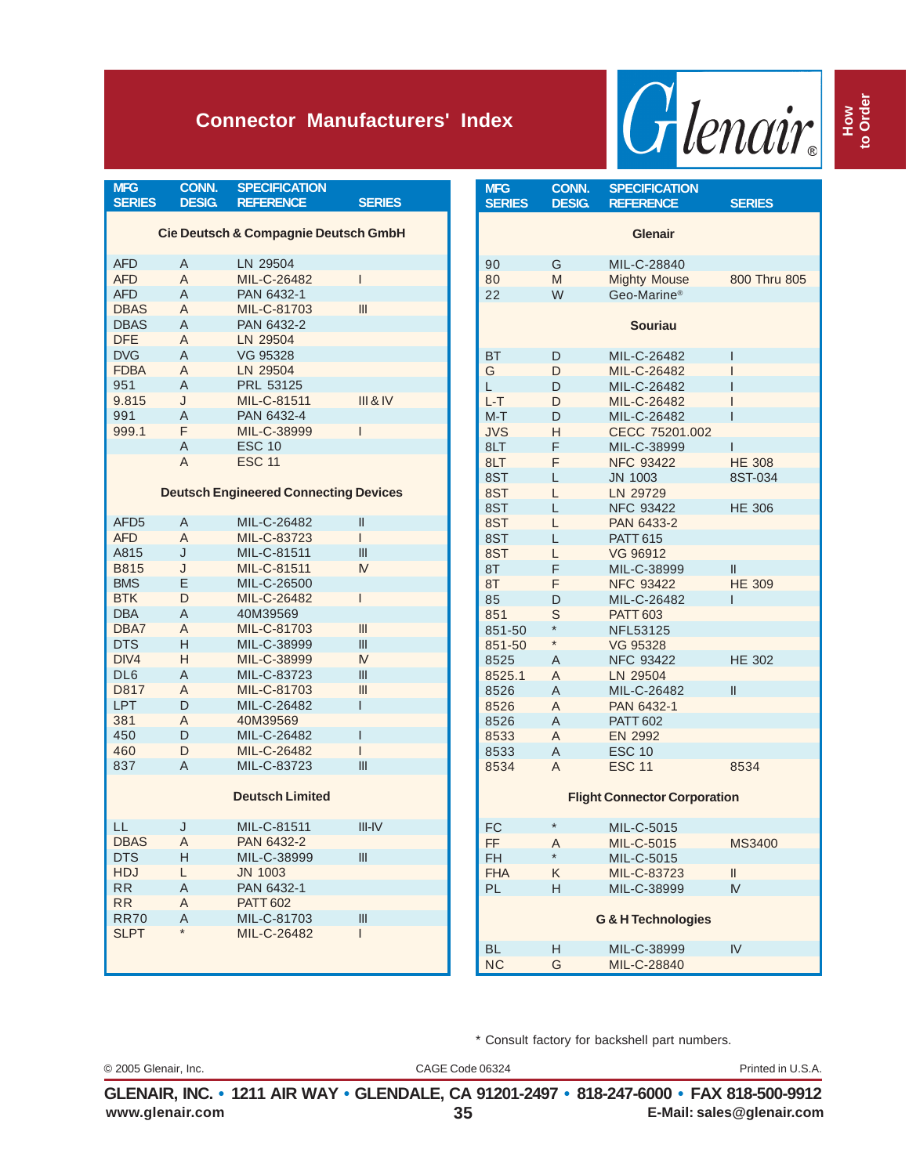## **Connector Manufacturers' Index**



| <b>MFG</b>                                      | CONN.         | <b>SPECIFICATION</b>                         |               |  |
|-------------------------------------------------|---------------|----------------------------------------------|---------------|--|
| <b>SERIES</b>                                   | <b>DESIG.</b> | <b>REFERENCE</b>                             | <b>SERIES</b> |  |
| <b>Cie Deutsch &amp; Compagnie Deutsch GmbH</b> |               |                                              |               |  |
|                                                 |               |                                              |               |  |
| <b>AFD</b>                                      | A             | LN 29504                                     |               |  |
| <b>AFD</b>                                      | A             | MIL-C-26482                                  | $\mathsf{I}$  |  |
| <b>AFD</b>                                      | A             | PAN 6432-1                                   |               |  |
| <b>DBAS</b>                                     | A             | MIL-C-81703                                  | III           |  |
| <b>DBAS</b>                                     | A             | PAN 6432-2                                   |               |  |
| <b>DFE</b>                                      | A             | LN 29504                                     |               |  |
| <b>DVG</b>                                      | A             | VG 95328                                     |               |  |
| <b>FDBA</b>                                     | A             | LN 29504                                     |               |  |
| 951                                             | A             | PRL 53125                                    |               |  |
| 9.815                                           | J             | MIL-C-81511                                  | III & IV      |  |
| 991                                             | A             | PAN 6432-4                                   |               |  |
| 999.1                                           | F             | MIL-C-38999                                  | L             |  |
|                                                 | A             | <b>ESC 10</b>                                |               |  |
|                                                 | A             | <b>ESC 11</b>                                |               |  |
|                                                 |               |                                              |               |  |
|                                                 |               | <b>Deutsch Engineered Connecting Devices</b> |               |  |
| AFD <sub>5</sub>                                | A             | MIL-C-26482                                  | Ш             |  |
| <b>AFD</b>                                      | A             | MIL-C-83723                                  | L             |  |
| A815                                            | J             | MIL-C-81511                                  | Ш             |  |
| <b>B815</b>                                     | J             | MIL-C-81511                                  | M             |  |
| <b>BMS</b>                                      | Е             | MIL-C-26500                                  |               |  |
| <b>BTK</b>                                      | D             | MIL-C-26482                                  | L             |  |
| <b>DBA</b>                                      | A             | 40M39569                                     |               |  |
| DBA7                                            | A             | MIL-C-81703                                  | Ш             |  |
| <b>DTS</b>                                      | Н             | MIL-C-38999                                  | Ш             |  |
| DIV4                                            | н             | MIL-C-38999                                  | M             |  |
| DL <sub>6</sub>                                 | A             | MIL-C-83723                                  | III           |  |
| D817                                            | A             | MIL-C-81703                                  | III           |  |
| <b>LPT</b>                                      | D             | MIL-C-26482                                  | L             |  |
| 381                                             | A             | 40M39569                                     |               |  |
| 450                                             | D             | MIL-C-26482                                  | L             |  |
| 460                                             | D             | MIL-C-26482                                  | L             |  |
| 837                                             | A             | MIL-C-83723                                  | Ш             |  |
|                                                 |               |                                              |               |  |
|                                                 |               | <b>Deutsch Limited</b>                       |               |  |
|                                                 |               |                                              |               |  |
| LL                                              | J             | MIL-C-81511                                  | $III$ -IV     |  |
| <b>DBAS</b>                                     | A             | PAN 6432-2                                   |               |  |
| <b>DTS</b>                                      | Н             | MIL-C-38999                                  |               |  |
| <b>HDJ</b>                                      | L             | <b>JN 1003</b>                               |               |  |
| <b>RR</b>                                       | Α             | PAN 6432-1                                   |               |  |
| <b>RR</b>                                       | Α             | <b>PATT 602</b>                              |               |  |
| <b>RR70</b>                                     | A<br>$\star$  | MIL-C-81703                                  | Ш<br>L        |  |
| <b>SLPT</b>                                     |               | MIL-C-26482                                  |               |  |
|                                                 |               |                                              |               |  |
|                                                 |               |                                              |               |  |

| <b>MFG</b>                    | <b>CONN.</b> | <b>SPECIFICATION</b>                |               |  |
|-------------------------------|--------------|-------------------------------------|---------------|--|
| <b>SERIES</b>                 | <b>DESIG</b> | <b>REFERENCE</b>                    | <b>SERIES</b> |  |
|                               |              | <b>Glenair</b>                      |               |  |
| 90                            | G            | MIL-C-28840                         |               |  |
| 80                            | M            | <b>Mighty Mouse</b>                 | 800 Thru 805  |  |
| 22                            | W            | Geo-Marine <sup>®</sup>             |               |  |
|                               |              | <b>Souriau</b>                      |               |  |
| <b>BT</b>                     | D            | MIL-C-26482                         | I             |  |
| G                             | D            | MIL-C-26482                         | I             |  |
| L                             | D            | MIL-C-26482                         | Ī             |  |
| L-T                           | D            | MIL-C-26482                         | I             |  |
| $M-T$                         | D            | MIL-C-26482                         | Ī             |  |
| JVS                           | н            | CECC 75201.002                      |               |  |
| 8LT                           | F            | MIL-C-38999                         | ı             |  |
| 8LT                           | F            | <b>NFC 93422</b>                    | <b>HE 308</b> |  |
| 8ST                           | L            | <b>JN 1003</b>                      | 8ST-034       |  |
| 8ST                           | L            | LN 29729                            |               |  |
| 8ST                           | L            | <b>NFC 93422</b>                    | <b>HE 306</b> |  |
| 8ST                           | L            | PAN 6433-2                          |               |  |
| 8ST                           | L            | <b>PATT 615</b>                     |               |  |
| 8ST                           | L            | VG 96912                            |               |  |
| 8T                            | F            | MIL-C-38999                         | $\mathsf{I}$  |  |
| 8T                            | F            | <b>NFC 93422</b>                    | <b>HE 309</b> |  |
| 85                            | D            | MIL-C-26482                         | ı             |  |
| 851                           | S            | <b>PATT 603</b>                     |               |  |
| 851-50                        | $\star$      | <b>NFL53125</b>                     |               |  |
| 851-50                        | $\star$      | VG 95328                            |               |  |
| 8525                          | A            | <b>NFC 93422</b>                    | <b>HE 302</b> |  |
| 8525.1                        | A            | LN 29504                            |               |  |
| 8526                          | A            | MIL-C-26482                         | $\mathsf{I}$  |  |
| 8526                          | A            | PAN 6432-1                          |               |  |
| 8526                          | A            | <b>PATT 602</b>                     |               |  |
| 8533                          | A            | <b>EN 2992</b>                      |               |  |
| 8533                          | A            | <b>ESC 10</b>                       |               |  |
| 8534                          | A            | <b>ESC 11</b>                       | 8534          |  |
|                               |              | <b>Flight Connector Corporation</b> |               |  |
| <b>FC</b>                     | $\star$      | MIL-C-5015                          |               |  |
| FF.                           | Α            | MIL-C-5015                          | <b>MS3400</b> |  |
| <b>FH</b>                     | $\star$      | MIL-C-5015                          |               |  |
| <b>FHA</b>                    | Κ            | MIL-C-83723                         | Ш             |  |
| PL                            | Η            | MIL-C-38999                         | M             |  |
| <b>G &amp; H Technologies</b> |              |                                     |               |  |
| <b>BL</b>                     | H            | MIL-C-38999                         | IV            |  |
| <b>NC</b>                     | G            | MIL-C-28840                         |               |  |
|                               |              |                                     |               |  |

\* Consult factory for backshell part numbers.

© 2005 Glenair, Inc. CAGE Code 06324 Printed in U.S.A.